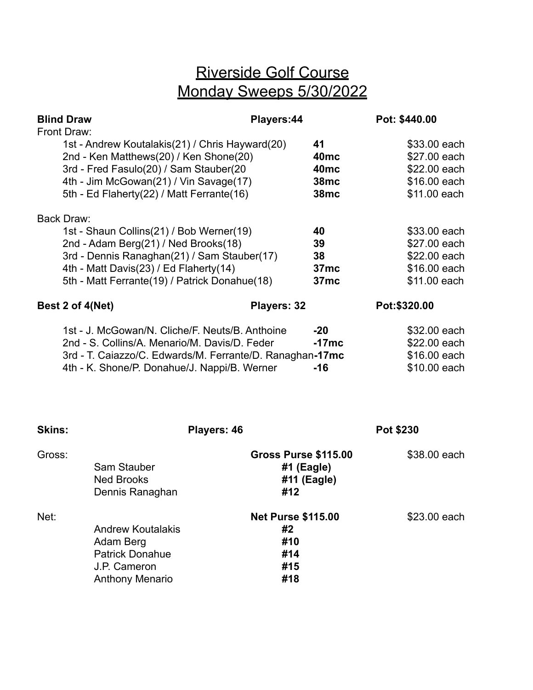## Riverside Golf Course Monday Sweeps 5/30/2022

| <b>Blind Draw</b><br>Front Draw:                                                                                                                                                                                                         | Players:44         |                                                        | Pot: \$440.00                                                                |
|------------------------------------------------------------------------------------------------------------------------------------------------------------------------------------------------------------------------------------------|--------------------|--------------------------------------------------------|------------------------------------------------------------------------------|
| 1st - Andrew Koutalakis(21) / Chris Hayward(20)<br>2nd - Ken Matthews(20) / Ken Shone(20)<br>3rd - Fred Fasulo(20) / Sam Stauber(20                                                                                                      |                    | 41<br>40 <sub>mc</sub><br>40 <sub>mc</sub>             | \$33.00 each<br>\$27.00 each<br>\$22.00 each                                 |
| 4th - Jim McGowan(21) / Vin Savage(17)<br>5th - Ed Flaherty(22) / Matt Ferrante(16)                                                                                                                                                      |                    | <b>38mc</b><br>38 <sub>mc</sub>                        | \$16.00 each<br>\$11.00 each                                                 |
| Back Draw:<br>1st - Shaun Collins(21) / Bob Werner(19)<br>2nd - Adam Berg(21) / Ned Brooks(18)<br>3rd - Dennis Ranaghan(21) / Sam Stauber(17)<br>4th - Matt Davis(23) / Ed Flaherty(14)<br>5th - Matt Ferrante(19) / Patrick Donahue(18) |                    | 40<br>39<br>38<br>37 <sub>mc</sub><br>37 <sub>mc</sub> | \$33.00 each<br>\$27.00 each<br>\$22.00 each<br>\$16.00 each<br>\$11.00 each |
| Best 2 of 4(Net)                                                                                                                                                                                                                         | <b>Players: 32</b> |                                                        | Pot:\$320.00                                                                 |
| 1st - J. McGowan/N. Cliche/F. Neuts/B. Anthoine<br>2nd - S. Collins/A. Menario/M. Davis/D. Feder<br>3rd - T. Caiazzo/C. Edwards/M. Ferrante/D. Ranaghan-17mc<br>4th - K. Shone/P. Donahue/J. Nappi/B. Werner                             |                    | $-20$<br>$-17mc$<br>$-16$                              | \$32.00 each<br>\$22.00 each<br>\$16.00 each<br>\$10.00 each                 |

| <b>Skins:</b> |                                                                                                           | Players: 46 |                                                                   | Pot \$230    |
|---------------|-----------------------------------------------------------------------------------------------------------|-------------|-------------------------------------------------------------------|--------------|
| Gross:        | Sam Stauber<br><b>Ned Brooks</b><br>Dennis Ranaghan                                                       |             | <b>Gross Purse \$115.00</b><br>$#1$ (Eagle)<br>#11 (Eagle)<br>#12 | \$38.00 each |
| Net:          | <b>Andrew Koutalakis</b><br>Adam Berg<br><b>Patrick Donahue</b><br>J.P. Cameron<br><b>Anthony Menario</b> |             | <b>Net Purse \$115.00</b><br>#2<br>#10<br>#14<br>#15<br>#18       | \$23.00 each |